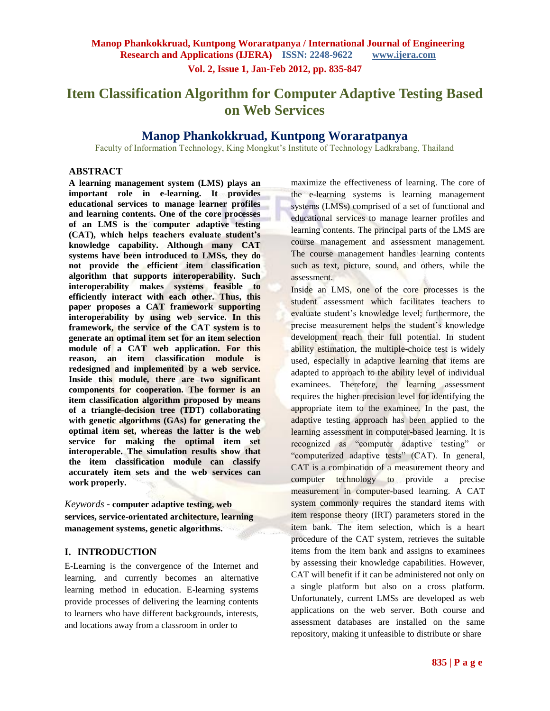**Vol. 2, Issue 1, Jan-Feb 2012, pp. 835-847**

# **Item Classification Algorithm for Computer Adaptive Testing Based on Web Services**

## **Manop Phankokkruad, Kuntpong Woraratpanya**

Faculty of Information Technology, King Mongkut's Institute of Technology Ladkrabang, Thailand

#### **ABSTRACT**

**A learning management system (LMS) plays an important role in e-learning. It provides educational services to manage learner profiles and learning contents. One of the core processes of an LMS is the computer adaptive testing (CAT), which helps teachers evaluate student's knowledge capability. Although many CAT systems have been introduced to LMSs, they do not provide the efficient item classification algorithm that supports interoperability. Such interoperability makes systems feasible to efficiently interact with each other. Thus, this paper proposes a CAT framework supporting interoperability by using web service. In this framework, the service of the CAT system is to generate an optimal item set for an item selection module of a CAT web application. For this reason, an item classification module is redesigned and implemented by a web service. Inside this module, there are two significant components for cooperation. The former is an item classification algorithm proposed by means of a triangle-decision tree (TDT) collaborating with genetic algorithms (GAs) for generating the optimal item set, whereas the latter is the web service for making the optimal item set interoperable. The simulation results show that the item classification module can classify accurately item sets and the web services can work properly.**

## *Keywords* **- computer adaptive testing, web services, service-orientated architecture, learning management systems, genetic algorithms.**

#### **I. INTRODUCTION**

E-Learning is the convergence of the Internet and learning, and currently becomes an alternative learning method in education. E-learning systems provide processes of delivering the learning contents to learners who have different backgrounds, interests, and locations away from a classroom in order to

maximize the effectiveness of learning. The core of the e-learning systems is learning management systems (LMSs) comprised of a set of functional and educational services to manage learner profiles and learning contents. The principal parts of the LMS are course management and assessment management. The course management handles learning contents such as text, picture, sound, and others, while the assessment.

Inside an LMS, one of the core processes is the student assessment which facilitates teachers to evaluate student's knowledge level; furthermore, the precise measurement helps the student's knowledge development reach their full potential. In student ability estimation, the multiple-choice test is widely used, especially in adaptive learning that items are adapted to approach to the ability level of individual examinees. Therefore, the learning assessment requires the higher precision level for identifying the appropriate item to the examinee. In the past, the adaptive testing approach has been applied to the learning assessment in computer-based learning. It is recognized as "computer adaptive testing" or "computerized adaptive tests" (CAT). In general, CAT is a combination of a measurement theory and computer technology to provide a precise measurement in computer-based learning. A CAT system commonly requires the standard items with item response theory (IRT) parameters stored in the item bank. The item selection, which is a heart procedure of the CAT system, retrieves the suitable items from the item bank and assigns to examinees by assessing their knowledge capabilities. However, CAT will benefit if it can be administered not only on a single platform but also on a cross platform. Unfortunately, current LMSs are developed as web applications on the web server. Both course and assessment databases are installed on the same repository, making it unfeasible to distribute or share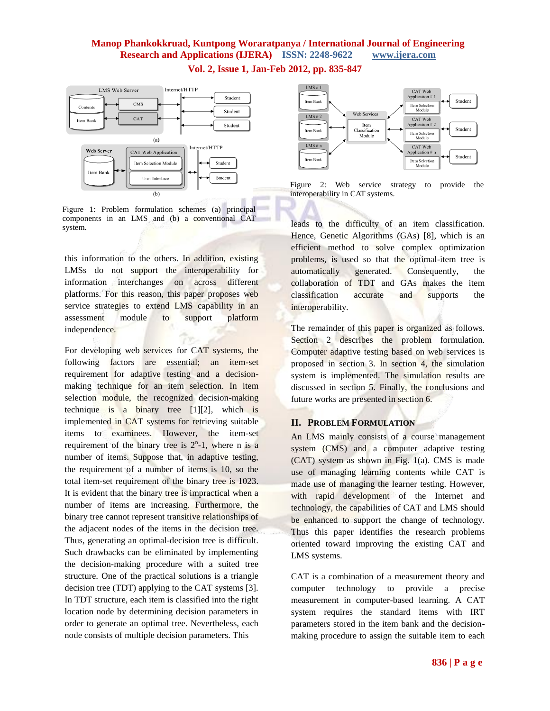



Figure 1: Problem formulation schemes (a) principal components in an LMS and (b) a conventional CAT system.

this information to the others. In addition, existing LMSs do not support the interoperability for information interchanges on across different platforms. For this reason, this paper proposes web service strategies to extend LMS capability in an assessment module to support platform independence.

For developing web services for CAT systems, the following factors are essential; an item-set requirement for adaptive testing and a decisionmaking technique for an item selection. In item selection module, the recognized decision-making technique is a binary tree [1][2], which is implemented in CAT systems for retrieving suitable items to examinees. However, the item-set requirement of the binary tree is  $2<sup>n</sup> - 1$ , where n is a number of items. Suppose that, in adaptive testing, the requirement of a number of items is 10, so the total item-set requirement of the binary tree is 1023. It is evident that the binary tree is impractical when a number of items are increasing. Furthermore, the binary tree cannot represent transitive relationships of the adjacent nodes of the items in the decision tree. Thus, generating an optimal-decision tree is difficult. Such drawbacks can be eliminated by implementing the decision-making procedure with a suited tree structure. One of the practical solutions is a triangle decision tree (TDT) applying to the CAT systems [3]. In TDT structure, each item is classified into the right location node by determining decision parameters in order to generate an optimal tree. Nevertheless, each node consists of multiple decision parameters. This



Figure 2: Web service strategy to provide the interoperability in CAT systems.

leads to the difficulty of an item classification. Hence, Genetic Algorithms (GAs) [8], which is an efficient method to solve complex optimization problems, is used so that the optimal-item tree is automatically generated. Consequently, the collaboration of TDT and GAs makes the item classification accurate and supports the interoperability.

The remainder of this paper is organized as follows. Section 2 describes the problem formulation. Computer adaptive testing based on web services is proposed in section 3. In section 4, the simulation system is implemented. The simulation results are discussed in section 5. Finally, the conclusions and future works are presented in section 6.

## **II. PROBLEM FORMULATION**

An LMS mainly consists of a course management system (CMS) and a computer adaptive testing (CAT) system as shown in Fig. 1(a). CMS is made use of managing learning contents while CAT is made use of managing the learner testing. However, with rapid development of the Internet and technology, the capabilities of CAT and LMS should be enhanced to support the change of technology. Thus this paper identifies the research problems oriented toward improving the existing CAT and LMS systems.

CAT is a combination of a measurement theory and computer technology to provide a precise measurement in computer-based learning. A CAT system requires the standard items with IRT parameters stored in the item bank and the decisionmaking procedure to assign the suitable item to each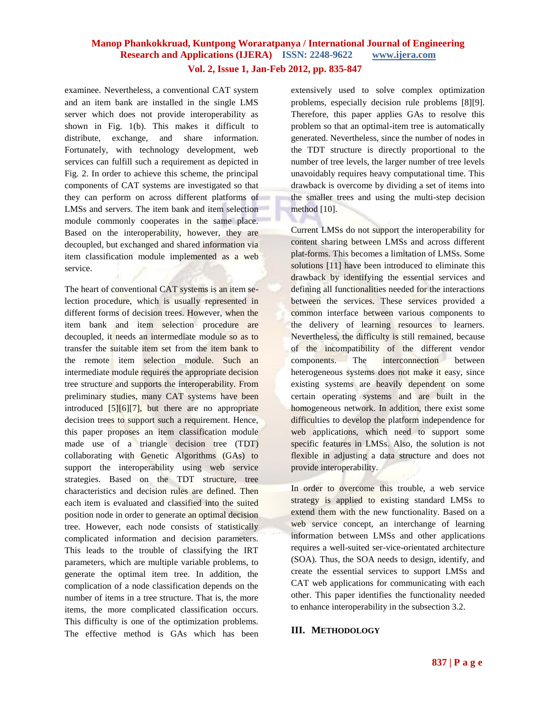examinee. Nevertheless, a conventional CAT system and an item bank are installed in the single LMS server which does not provide interoperability as shown in Fig. 1(b). This makes it difficult to distribute, exchange, and share information. Fortunately, with technology development, web services can fulfill such a requirement as depicted in Fig. 2. In order to achieve this scheme, the principal components of CAT systems are investigated so that they can perform on across different platforms of LMSs and servers. The item bank and item selection module commonly cooperates in the same place. Based on the interoperability, however, they are decoupled, but exchanged and shared information via item classification module implemented as a web service.

The heart of conventional CAT systems is an item selection procedure, which is usually represented in different forms of decision trees. However, when the item bank and item selection procedure are decoupled, it needs an intermediate module so as to transfer the suitable item set from the item bank to the remote item selection module. Such an intermediate module requires the appropriate decision tree structure and supports the interoperability. From preliminary studies, many CAT systems have been introduced [5][6][7], but there are no appropriate decision trees to support such a requirement. Hence, this paper proposes an item classification module made use of a triangle decision tree (TDT) collaborating with Genetic Algorithms (GAs) to support the interoperability using web service strategies. Based on the TDT structure, tree characteristics and decision rules are defined. Then each item is evaluated and classified into the suited position node in order to generate an optimal decision tree. However, each node consists of statistically complicated information and decision parameters. This leads to the trouble of classifying the IRT parameters, which are multiple variable problems, to generate the optimal item tree. In addition, the complication of a node classification depends on the number of items in a tree structure. That is, the more items, the more complicated classification occurs. This difficulty is one of the optimization problems. The effective method is GAs which has been extensively used to solve complex optimization problems, especially decision rule problems [8][9]. Therefore, this paper applies GAs to resolve this problem so that an optimal-item tree is automatically generated. Nevertheless, since the number of nodes in the TDT structure is directly proportional to the number of tree levels, the larger number of tree levels unavoidably requires heavy computational time. This drawback is overcome by dividing a set of items into the smaller trees and using the multi-step decision method [10].

Current LMSs do not support the interoperability for content sharing between LMSs and across different plat-forms. This becomes a limitation of LMSs. Some solutions [11] have been introduced to eliminate this drawback by identifying the essential services and defining all functionalities needed for the interactions between the services. These services provided a common interface between various components to the delivery of learning resources to learners. Nevertheless, the difficulty is still remained, because of the incompatibility of the different vendor components. The interconnection between heterogeneous systems does not make it easy, since existing systems are heavily dependent on some certain operating systems and are built in the homogeneous network. In addition, there exist some difficulties to develop the platform independence for web applications, which need to support some specific features in LMSs. Also, the solution is not flexible in adjusting a data structure and does not provide interoperability.

In order to overcome this trouble, a web service strategy is applied to existing standard LMSs to extend them with the new functionality. Based on a web service concept, an interchange of learning information between LMSs and other applications requires a well-suited ser-vice-orientated architecture (SOA). Thus, the SOA needs to design, identify, and create the essential services to support LMSs and CAT web applications for communicating with each other. This paper identifies the functionality needed to enhance interoperability in the subsection 3.2.

#### **III. METHODOLOGY**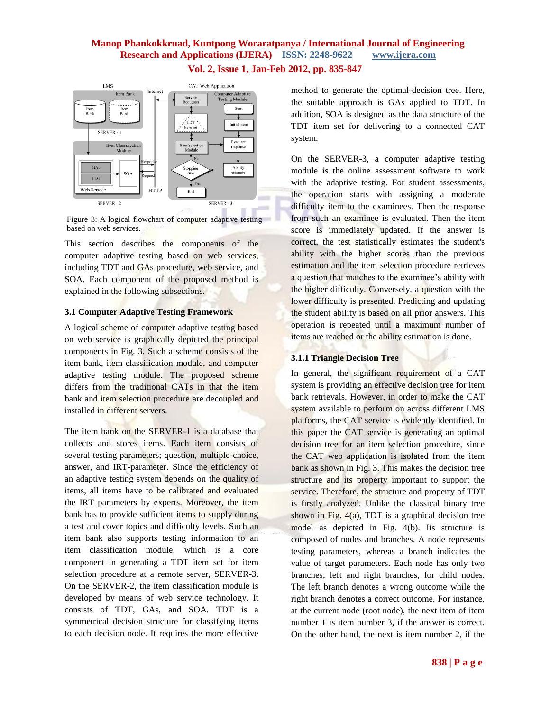

Figure 3: A logical flowchart of computer adaptive testing based on web services.

This section describes the components of the computer adaptive testing based on web services, including TDT and GAs procedure, web service, and SOA. Each component of the proposed method is explained in the following subsections.

#### **3.1 Computer Adaptive Testing Framework**

A logical scheme of computer adaptive testing based on web service is graphically depicted the principal components in Fig. 3. Such a scheme consists of the item bank, item classification module, and computer adaptive testing module. The proposed scheme differs from the traditional CATs in that the item bank and item selection procedure are decoupled and installed in different servers.

The item bank on the SERVER-1 is a database that collects and stores items. Each item consists of several testing parameters; question, multiple-choice, answer, and IRT-parameter. Since the efficiency of an adaptive testing system depends on the quality of items, all items have to be calibrated and evaluated the IRT parameters by experts. Moreover, the item bank has to provide sufficient items to supply during a test and cover topics and difficulty levels. Such an item bank also supports testing information to an item classification module, which is a core component in generating a TDT item set for item selection procedure at a remote server, SERVER-3. On the SERVER-2, the item classification module is developed by means of web service technology. It consists of TDT, GAs, and SOA. TDT is a symmetrical decision structure for classifying items to each decision node. It requires the more effective

method to generate the optimal-decision tree. Here, the suitable approach is GAs applied to TDT. In addition, SOA is designed as the data structure of the TDT item set for delivering to a connected CAT system.

On the SERVER-3, a computer adaptive testing module is the online assessment software to work with the adaptive testing. For student assessments, the operation starts with assigning a moderate difficulty item to the examinees. Then the response from such an examinee is evaluated. Then the item score is immediately updated. If the answer is correct, the test statistically estimates the student's ability with the higher scores than the previous estimation and the item selection procedure retrieves a question that matches to the examinee's ability with the higher difficulty. Conversely, a question with the lower difficulty is presented. Predicting and updating the student ability is based on all prior answers. This operation is repeated until a maximum number of items are reached or the ability estimation is done.

#### **3.1.1 Triangle Decision Tree**

In general, the significant requirement of a CAT system is providing an effective decision tree for item bank retrievals. However, in order to make the CAT system available to perform on across different LMS platforms, the CAT service is evidently identified. In this paper the CAT service is generating an optimal decision tree for an item selection procedure, since the CAT web application is isolated from the item bank as shown in Fig. 3. This makes the decision tree structure and its property important to support the service. Therefore, the structure and property of TDT is firstly analyzed. Unlike the classical binary tree shown in Fig.  $4(a)$ , TDT is a graphical decision tree model as depicted in Fig. 4(b). Its structure is composed of nodes and branches. A node represents testing parameters, whereas a branch indicates the value of target parameters. Each node has only two branches; left and right branches, for child nodes. The left branch denotes a wrong outcome while the right branch denotes a correct outcome. For instance, at the current node (root node), the next item of item number 1 is item number 3, if the answer is correct. On the other hand, the next is item number 2, if the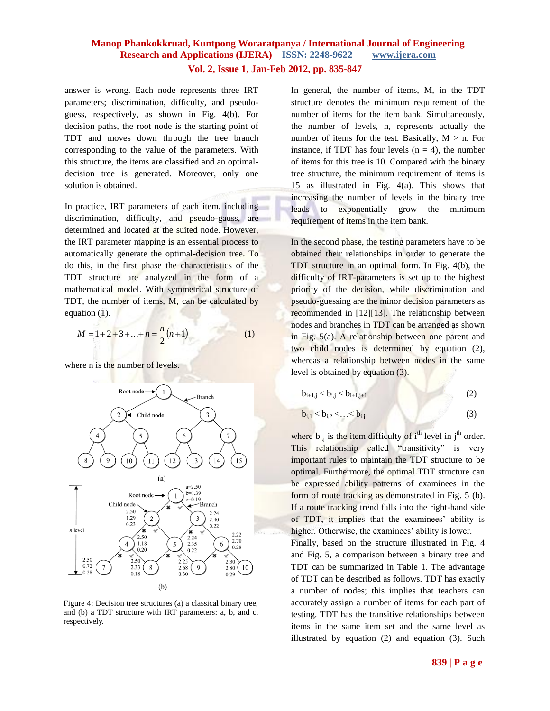answer is wrong. Each node represents three IRT parameters; discrimination, difficulty, and pseudoguess, respectively, as shown in Fig. 4(b). For decision paths, the root node is the starting point of TDT and moves down through the tree branch corresponding to the value of the parameters. With this structure, the items are classified and an optimaldecision tree is generated. Moreover, only one solution is obtained.

In practice, IRT parameters of each item, including discrimination, difficulty, and pseudo-gauss, are determined and located at the suited node. However, the IRT parameter mapping is an essential process to automatically generate the optimal-decision tree. To do this, in the first phase the characteristics of the TDT structure are analyzed in the form of a mathematical model. With symmetrical structure of TDT, the number of items, M, can be calculated by equation (1).

$$
M = 1 + 2 + 3 + \dots + n = \frac{n}{2}(n+1)
$$
 (1)

where n is the number of levels.



Figure 4: Decision tree structures (a) a classical binary tree, and (b) a TDT structure with IRT parameters: a, b, and c, respectively.

In general, the number of items, M, in the TDT structure denotes the minimum requirement of the number of items for the item bank. Simultaneously, the number of levels, n, represents actually the number of items for the test. Basically,  $M > n$ . For instance, if TDT has four levels  $(n = 4)$ , the number of items for this tree is 10. Compared with the binary tree structure, the minimum requirement of items is 15 as illustrated in Fig. 4(a). This shows that increasing the number of levels in the binary tree leads to exponentially grow the minimum requirement of items in the item bank.

In the second phase, the testing parameters have to be obtained their relationships in order to generate the TDT structure in an optimal form. In Fig. 4(b), the difficulty of IRT-parameters is set up to the highest priority of the decision, while discrimination and pseudo-guessing are the minor decision parameters as recommended in [12][13]. The relationship between nodes and branches in TDT can be arranged as shown in Fig. 5(a). A relationship between one parent and two child nodes is determined by equation (2), whereas a relationship between nodes in the same level is obtained by equation (3).

| $b_{i+1,j} < b_{i,j} < b_{i+1,j+1}$ | (2) |
|-------------------------------------|-----|
|                                     |     |

$$
b_{i,1} < b_{i,2} < ... < b_{i,j}
$$
 (3)

where  $b_{i,j}$  is the item difficulty of i<sup>th</sup> level in j<sup>th</sup> order. This relationship called "transitivity" is very important rules to maintain the TDT structure to be optimal. Furthermore, the optimal TDT structure can be expressed ability patterns of examinees in the form of route tracking as demonstrated in Fig. 5 (b). If a route tracking trend falls into the right-hand side of TDT, it implies that the examinees' ability is higher. Otherwise, the examinees' ability is lower.

Finally, based on the structure illustrated in Fig. 4 and Fig. 5, a comparison between a binary tree and TDT can be summarized in Table 1. The advantage of TDT can be described as follows. TDT has exactly a number of nodes; this implies that teachers can accurately assign a number of items for each part of testing. TDT has the transitive relationships between items in the same item set and the same level as illustrated by equation (2) and equation (3). Such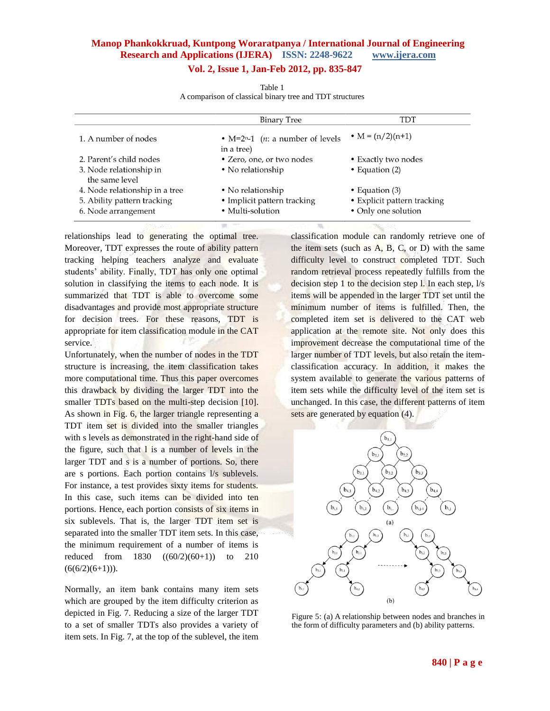## **Vol. 2, Issue 1, Jan-Feb 2012, pp. 835-847**

|                                           | <b>Binary Tree</b>                                       | TDT                         |
|-------------------------------------------|----------------------------------------------------------|-----------------------------|
| 1. A number of nodes                      | • $M=2n-1$ ( <i>n</i> : a number of levels<br>in a tree) | • $M = (n/2)(n+1)$          |
| 2. Parent's child nodes                   | • Zero, one, or two nodes                                | • Exactly two nodes         |
| 3. Node relationship in<br>the same level | • No relationship                                        | • Equation $(2)$            |
| 4. Node relationship in a tree            | • No relationship                                        | • Equation $(3)$            |
| 5. Ability pattern tracking               | • Implicit pattern tracking                              | • Explicit pattern tracking |
| 6. Node arrangement                       | • Multi-solution                                         | • Only one solution         |

Table 1 A comparison of classical binary tree and TDT structures

relationships lead to generating the optimal tree. Moreover, TDT expresses the route of ability pattern tracking helping teachers analyze and evaluate students' ability. Finally, TDT has only one optimal solution in classifying the items to each node. It is summarized that TDT is able to overcome some disadvantages and provide most appropriate structure for decision trees. For these reasons, TDT is appropriate for item classification module in the CAT service.

Unfortunately, when the number of nodes in the TDT structure is increasing, the item classification takes more computational time. Thus this paper overcomes this drawback by dividing the larger TDT into the smaller TDTs based on the multi-step decision [10]. As shown in Fig. 6, the larger triangle representing a TDT item set is divided into the smaller triangles with s levels as demonstrated in the right-hand side of the figure, such that l is a number of levels in the larger TDT and s is a number of portions. So, there are s portions. Each portion contains l/s sublevels. For instance, a test provides sixty items for students. In this case, such items can be divided into ten portions. Hence, each portion consists of six items in six sublevels. That is, the larger TDT item set is separated into the smaller TDT item sets. In this case, the minimum requirement of a number of items is reduced from 1830 ((60/2)(60+1)) to 210  $(6(6/2)(6+1))$ .

Normally, an item bank contains many item sets which are grouped by the item difficulty criterion as depicted in Fig. 7. Reducing a size of the larger TDT to a set of smaller TDTs also provides a variety of item sets. In Fig. 7, at the top of the sublevel, the item classification module can randomly retrieve one of the item sets (such as  $A$ ,  $B$ ,  $C$ , or  $D$ ) with the same difficulty level to construct completed TDT. Such random retrieval process repeatedly fulfills from the decision step 1 to the decision step 1. In each step,  $1/s$ items will be appended in the larger TDT set until the minimum number of items is fulfilled. Then, the completed item set is delivered to the CAT web application at the remote site. Not only does this improvement decrease the computational time of the larger number of TDT levels, but also retain the itemclassification accuracy. In addition, it makes the system available to generate the various patterns of item sets while the difficulty level of the item set is unchanged. In this case, the different patterns of item sets are generated by equation (4).



Figure 5: (a) A relationship between nodes and branches in the form of difficulty parameters and (b) ability patterns.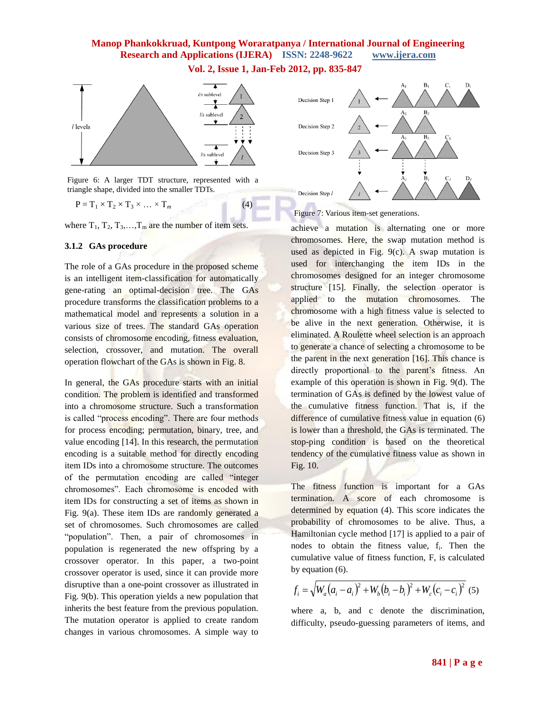**Vol. 2, Issue 1, Jan-Feb 2012, pp. 835-847**



Figure 6: A larger TDT structure, represented with a triangle shape, divided into the smaller TDTs.

 $P = T_1 \times T_2 \times T_3 \times \ldots \times T_m$  (4)

where  $T_1, T_2, T_3, \ldots, T_m$  are the number of item sets.

#### **3.1.2 GAs procedure**

The role of a GAs procedure in the proposed scheme is an intelligent item-classification for automatically gene-rating an optimal-decision tree. The GAs procedure transforms the classification problems to a mathematical model and represents a solution in a various size of trees. The standard GAs operation consists of chromosome encoding, fitness evaluation, selection, crossover, and mutation. The overall operation flowchart of the GAs is shown in Fig. 8.

In general, the GAs procedure starts with an initial condition. The problem is identified and transformed into a chromosome structure. Such a transformation is called "process encoding". There are four methods for process encoding; permutation, binary, tree, and value encoding [14]. In this research, the permutation encoding is a suitable method for directly encoding item IDs into a chromosome structure. The outcomes of the permutation encoding are called "integer chromosomes". Each chromosome is encoded with item IDs for constructing a set of items as shown in Fig. 9(a). These item IDs are randomly generated a set of chromosomes. Such chromosomes are called "population". Then, a pair of chromosomes in population is regenerated the new offspring by a crossover operator. In this paper, a two-point crossover operator is used, since it can provide more disruptive than a one-point crossover as illustrated in Fig. 9(b). This operation yields a new population that inherits the best feature from the previous population. The mutation operator is applied to create random changes in various chromosomes. A simple way to



Figure 7: Various item-set generations.

achieve a mutation is alternating one or more chromosomes. Here, the swap mutation method is used as depicted in Fig. 9(c). A swap mutation is used for interchanging the item IDs in the chromosomes designed for an integer chromosome structure [15]. Finally, the selection operator is applied to the mutation chromosomes. The chromosome with a high fitness value is selected to be alive in the next generation. Otherwise, it is eliminated. A Roulette wheel selection is an approach to generate a chance of selecting a chromosome to be the parent in the next generation [16]. This chance is directly proportional to the parent's fitness. An example of this operation is shown in Fig. 9(d). The termination of GAs is defined by the lowest value of the cumulative fitness function. That is, if the difference of cumulative fitness value in equation (6) is lower than a threshold, the GAs is terminated. The stop-ping condition is based on the theoretical tendency of the cumulative fitness value as shown in Fig. 10.

The fitness function is important for a GAs termination. A score of each chromosome is determined by equation (4). This score indicates the probability of chromosomes to be alive. Thus, a Hamiltonian cycle method [17] is applied to a pair of nodes to obtain the fitness value, f<sub>i</sub>. Then the cumulative value of fitness function, F, is calculated by equation (6).

$$
f_i = \sqrt{W_a(a_i - a_i)^2 + W_b(b_i - b_i)^2 + W_c(c_i - c_i)^2}
$$
 (5)

where a, b, and c denote the discrimination, difficulty, pseudo-guessing parameters of items, and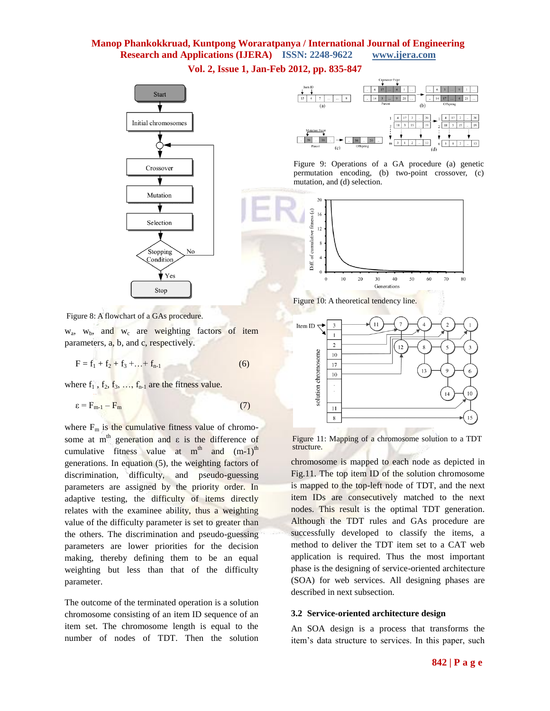**Vol. 2, Issue 1, Jan-Feb 2012, pp. 835-847**





Figure 9: Operations of a GA procedure (a) genetic permutation encoding, (b) two-point crossover, (c) mutation, and (d) selection.







Figure 11: Mapping of a chromosome solution to a TDT structure.

chromosome is mapped to each node as depicted in Fig.11. The top item ID of the solution chromosome is mapped to the top-left node of TDT, and the next item IDs are consecutively matched to the next nodes. This result is the optimal TDT generation. Although the TDT rules and GAs procedure are successfully developed to classify the items, a method to deliver the TDT item set to a CAT web application is required. Thus the most important phase is the designing of service-oriented architecture (SOA) for web services. All designing phases are described in next subsection.

#### **3.2 Service-oriented architecture design**

An SOA design is a process that transforms the item's data structure to services. In this paper, such

Figure 8: A flowchart of a GAs procedure.

 $w_a$ ,  $w_b$ , and  $w_c$  are weighting factors of item parameters, a, b, and c, respectively.

 $F = f_1 + f_2 + f_3 + \ldots + f_{n-1}$  (6)

where  $f_1$ ,  $f_2$ ,  $f_3$ , ...,  $f_{n-1}$  are the fitness value.

$$
\varepsilon = \mathbf{F}_{m-1} - \mathbf{F}_m \tag{7}
$$

where  $F_m$  is the cumulative fitness value of chromosome at m<sup>th</sup> generation and  $\varepsilon$  is the difference of cumulative fitness value at  $m<sup>th</sup>$  and  $(m-1)<sup>th</sup>$ generations. In equation (5), the weighting factors of discrimination, difficulty, and pseudo-guessing parameters are assigned by the priority order. In adaptive testing, the difficulty of items directly relates with the examinee ability, thus a weighting value of the difficulty parameter is set to greater than the others. The discrimination and pseudo-guessing parameters are lower priorities for the decision making, thereby defining them to be an equal weighting but less than that of the difficulty parameter.

The outcome of the terminated operation is a solution chromosome consisting of an item ID sequence of an item set. The chromosome length is equal to the number of nodes of TDT. Then the solution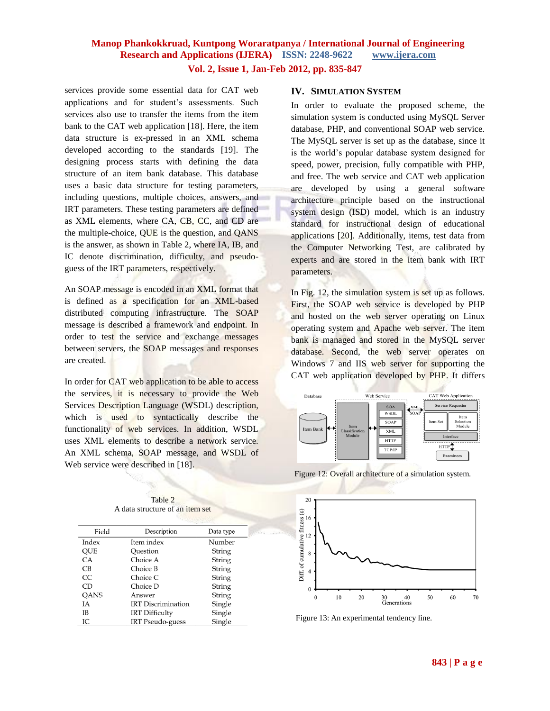services provide some essential data for CAT web applications and for student's assessments. Such services also use to transfer the items from the item bank to the CAT web application [18]. Here, the item data structure is ex-pressed in an XML schema developed according to the standards [19]. The designing process starts with defining the data structure of an item bank database. This database uses a basic data structure for testing parameters, including questions, multiple choices, answers, and IRT parameters. These testing parameters are defined as XML elements, where CA, CB, CC, and CD are the multiple-choice, QUE is the question, and QANS is the answer, as shown in Table 2, where IA, IB, and IC denote discrimination, difficulty, and pseudoguess of the IRT parameters, respectively.

An SOAP message is encoded in an XML format that is defined as a specification for an XML-based distributed computing infrastructure. The SOAP message is described a framework and endpoint. In order to test the service and exchange messages between servers, the SOAP messages and responses are created.

In order for CAT web application to be able to access the services, it is necessary to provide the Web Services Description Language (WSDL) description, which is used to syntactically describe the functionality of web services. In addition, WSDL uses XML elements to describe a network service. An XML schema, SOAP message, and WSDL of Web service were described in [18].

Table 2 A data structure of an item set

| Description               | Data type |  |  |  |
|---------------------------|-----------|--|--|--|
| Item index                | Number    |  |  |  |
| Question                  | String    |  |  |  |
| Choice A                  | String    |  |  |  |
| Choice B                  | String    |  |  |  |
| Choice C                  | String    |  |  |  |
| Choice D                  | String    |  |  |  |
| Answer                    | String    |  |  |  |
| <b>IRT</b> Discrimination | Single    |  |  |  |
| <b>IRT</b> Difficulty     | Single    |  |  |  |
| <b>IRT</b> Pseudo-guess   | Single    |  |  |  |
|                           |           |  |  |  |

#### **IV. SIMULATION SYSTEM**

In order to evaluate the proposed scheme, the simulation system is conducted using MySQL Server database, PHP, and conventional SOAP web service. The MySQL server is set up as the database, since it is the world's popular database system designed for speed, power, precision, fully compatible with PHP, and free. The web service and CAT web application are developed by using a general software architecture principle based on the instructional system design (ISD) model, which is an industry standard for instructional design of educational applications [20]. Additionally, items, test data from the Computer Networking Test, are calibrated by experts and are stored in the item bank with IRT parameters.

In Fig. 12, the simulation system is set up as follows. First, the SOAP web service is developed by PHP and hosted on the web server operating on Linux operating system and Apache web server. The item bank is managed and stored in the MySQL server database. Second, the web server operates on Windows 7 and IIS web server for supporting the CAT web application developed by PHP. It differs



Figure 12: Overall architecture of a simulation system.



Figure 13: An experimental tendency line.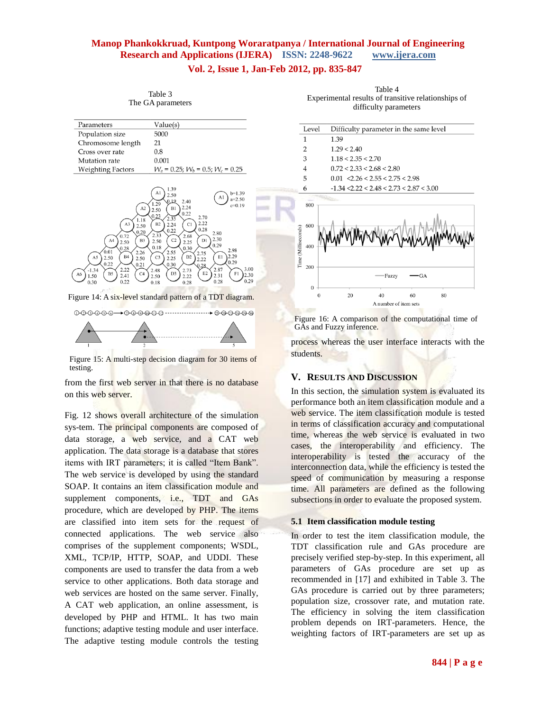#### **Vol. 2, Issue 1, Jan-Feb 2012, pp. 835-847**

| Parameters                                                                                                                                                                                                                                  | Value(s)                                                                                                                                                                                                                                                                                                                                                                                                                                                                                                                               |
|---------------------------------------------------------------------------------------------------------------------------------------------------------------------------------------------------------------------------------------------|----------------------------------------------------------------------------------------------------------------------------------------------------------------------------------------------------------------------------------------------------------------------------------------------------------------------------------------------------------------------------------------------------------------------------------------------------------------------------------------------------------------------------------------|
| Population size                                                                                                                                                                                                                             | 5000                                                                                                                                                                                                                                                                                                                                                                                                                                                                                                                                   |
| Chromosome length                                                                                                                                                                                                                           | 21                                                                                                                                                                                                                                                                                                                                                                                                                                                                                                                                     |
| Cross over rate                                                                                                                                                                                                                             | 0.8                                                                                                                                                                                                                                                                                                                                                                                                                                                                                                                                    |
| Mutation rate                                                                                                                                                                                                                               | 0.001                                                                                                                                                                                                                                                                                                                                                                                                                                                                                                                                  |
| Weighting Factors                                                                                                                                                                                                                           | $W_a = 0.25$ ; $W_b = 0.5$ ; $W_c = 0.25$                                                                                                                                                                                                                                                                                                                                                                                                                                                                                              |
| A2<br>1.18<br>A3<br>2.50<br>0.20<br>0.72<br>A <sub>4</sub><br>B <sub>3</sub><br>2.50<br>0.28<br>0.01<br>2.26<br><b>B4</b><br>A5<br>2.50<br>2.50<br>0.22<br>0.21<br>2.22<br>$-1.34$<br><b>B5</b><br>C4<br>A6<br>2.41<br>1.50<br>0.22<br>0.30 | 1.39<br>A1<br>$b=1.39$<br>2.50<br>A1<br>$a=2.50$<br>0.19<br>2.40<br>1.29<br>$c=0.19$<br>2.24<br>B1<br>2.50<br>0.22<br>0.23<br>2.70<br>2.35<br>2.22<br>B2<br>C1<br>2.24<br>0.28<br>0.22<br>2.80<br>2.33<br>2.68<br>2.30<br>C2<br>D1<br>2.50<br>2.25<br>0.29<br>0.18<br>0.30<br>2.98<br>2.55<br>2.75<br>2.29<br>D <sub>2</sub><br>E1<br>C <sub>3</sub><br>2.25<br>2.22<br>0.29<br>0.30<br>0.28<br>3.00<br>2.87<br>2.48<br>2.73<br>E <sub>2</sub><br>D <sub>3</sub><br>F1<br>2.30<br>2.31<br>2.22<br>2.50<br>0.29<br>0.28<br>0.18<br>0.28 |
|                                                                                                                                                                                                                                             | Figure 14: A six-level standard pattern of a TDT diagram.                                                                                                                                                                                                                                                                                                                                                                                                                                                                              |
|                                                                                                                                                                                                                                             |                                                                                                                                                                                                                                                                                                                                                                                                                                                                                                                                        |

Table 3 The GA parameters





Figure 15: A multi-step decision diagram for 30 items of testing.

from the first web server in that there is no database on this web server.

Fig. 12 shows overall architecture of the simulation sys-tem. The principal components are composed of data storage, a web service, and a CAT web application. The data storage is a database that stores items with IRT parameters; it is called "Item Bank". The web service is developed by using the standard SOAP. It contains an item classification module and supplement components, i.e., TDT and GAs procedure, which are developed by PHP. The items are classified into item sets for the request of connected applications. The web service also comprises of the supplement components; WSDL, XML, TCP/IP, HTTP, SOAP, and UDDI. These components are used to transfer the data from a web service to other applications. Both data storage and web services are hosted on the same server. Finally, A CAT web application, an online assessment, is developed by PHP and HTML. It has two main functions; adaptive testing module and user interface. The adaptive testing module controls the testing

Table 4 Experimental results of transitive relationships of difficulty parameters

| Level                                           |                    | Difficulty parameter in the same level               |           |    |  |
|-------------------------------------------------|--------------------|------------------------------------------------------|-----------|----|--|
| 1                                               | 1.39               |                                                      |           |    |  |
| $\overline{2}$                                  | 1.29 < 2.40        |                                                      |           |    |  |
| 3                                               | 1.18 < 2.35 < 2.70 |                                                      |           |    |  |
| $\overline{4}$                                  |                    | 0.72 < 2.33 < 2.68 < 2.80                            |           |    |  |
| 5                                               |                    | $0.01 \le 2.26 \le 2.55 \le 2.75 \le 2.98$           |           |    |  |
| 6                                               |                    | $-1.34 \le 2.22 \le 2.48 \le 2.73 \le 2.87 \le 3.00$ |           |    |  |
| 800<br>600<br>Time (Milliseconds)<br>400<br>200 |                    | Fuzzy                                                | MMM<br>GA |    |  |
| $\Omega$<br>$\theta$                            | 20                 | 40                                                   | 60        | 80 |  |



A number of item sets

process whereas the user interface interacts with the students.

#### **V. RESULTS AND DISCUSSION**

In this section, the simulation system is evaluated its performance both an item classification module and a web service. The item classification module is tested in terms of classification accuracy and computational time, whereas the web service is evaluated in two cases, the interoperability and efficiency. The interoperability is tested the accuracy of the interconnection data, while the efficiency is tested the speed of communication by measuring a response time. All parameters are defined as the following subsections in order to evaluate the proposed system.

#### **5.1 Item classification module testing**

In order to test the item classification module, the TDT classification rule and GAs procedure are precisely verified step-by-step. In this experiment, all parameters of GAs procedure are set up as recommended in [17] and exhibited in Table 3. The GAs procedure is carried out by three parameters; population size, crossover rate, and mutation rate. The efficiency in solving the item classification problem depends on IRT-parameters. Hence, the weighting factors of IRT-parameters are set up as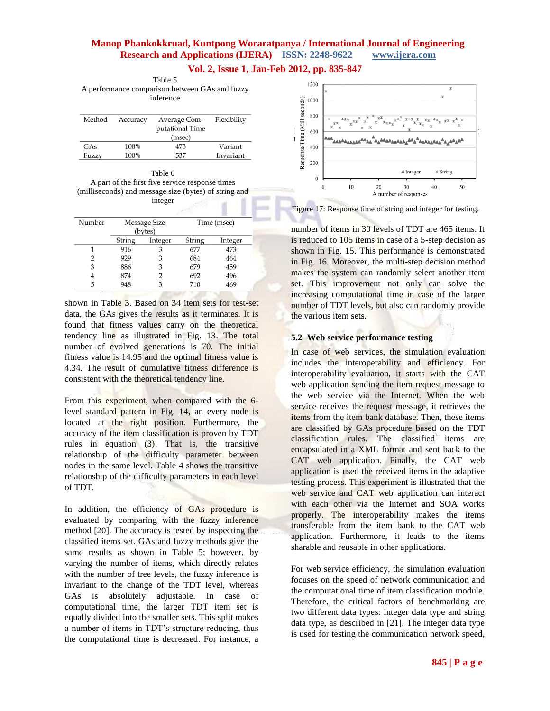**Vol. 2, Issue 1, Jan-Feb 2012, pp. 835-847**

Table 5 A performance comparison between GAs and fuzzy inference

| Method | Accuracy | Average Com-<br>putational Time<br>(msec) | Flexibility |
|--------|----------|-------------------------------------------|-------------|
| GAs    | 100%     | 473                                       | Variant     |
| Fuzzy  | 100%     | 537                                       | Invariant   |

| Table 6                                               |
|-------------------------------------------------------|
| A part of the first five service response times       |
| (milliseconds) and message size (bytes) of string and |
| integer                                               |
|                                                       |

| Number | Message Size<br>(bytes) |         | Time (msec) |         |
|--------|-------------------------|---------|-------------|---------|
|        | String                  | Integer | String      | Integer |
|        | 916                     | 3       | 677         | 473     |
| 2      | 929                     | З       | 684         | 464     |
| 3      | 886                     | 3       | 679         | 459     |
|        | 874                     |         | 692         | 496     |
| 5      | 948                     |         | 710         | 469     |

shown in Table 3. Based on 34 item sets for test-set data, the GAs gives the results as it terminates. It is found that fitness values carry on the theoretical tendency line as illustrated in Fig. 13. The total number of evolved generations is 70. The initial fitness value is 14.95 and the optimal fitness value is 4.34. The result of cumulative fitness difference is consistent with the theoretical tendency line.

From this experiment, when compared with the 6 level standard pattern in Fig. 14, an every node is located at the right position. Furthermore, the accuracy of the item classification is proven by TDT rules in equation (3). That is, the transitive relationship of the difficulty parameter between nodes in the same level. Table 4 shows the transitive relationship of the difficulty parameters in each level of TDT.

In addition, the efficiency of GAs procedure is evaluated by comparing with the fuzzy inference method [20]. The accuracy is tested by inspecting the classified items set. GAs and fuzzy methods give the same results as shown in Table 5; however, by varying the number of items, which directly relates with the number of tree levels, the fuzzy inference is invariant to the change of the TDT level, whereas GAs is absolutely adjustable. In case of computational time, the larger TDT item set is equally divided into the smaller sets. This split makes a number of items in TDT's structure reducing, thus the computational time is decreased. For instance, a



Figure 17: Response time of string and integer for testing.

number of items in 30 levels of TDT are 465 items. It is reduced to 105 items in case of a 5-step decision as shown in Fig. 15. This performance is demonstrated in Fig. 16. Moreover, the multi-step decision method makes the system can randomly select another item set. This improvement not only can solve the increasing computational time in case of the larger number of TDT levels, but also can randomly provide the various item sets.

#### **5.2 Web service performance testing**

In case of web services, the simulation evaluation includes the interoperability and efficiency. For interoperability evaluation, it starts with the CAT web application sending the item request message to the web service via the Internet. When the web service receives the request message, it retrieves the items from the item bank database. Then, these items are classified by GAs procedure based on the TDT classification rules. The classified items are encapsulated in a XML format and sent back to the CAT web application. Finally, the CAT web application is used the received items in the adaptive testing process. This experiment is illustrated that the web service and CAT web application can interact with each other via the Internet and SOA works properly. The interoperability makes the items transferable from the item bank to the CAT web application. Furthermore, it leads to the items sharable and reusable in other applications.

For web service efficiency, the simulation evaluation focuses on the speed of network communication and the computational time of item classification module. Therefore, the critical factors of benchmarking are two different data types: integer data type and string data type, as described in [21]. The integer data type is used for testing the communication network speed,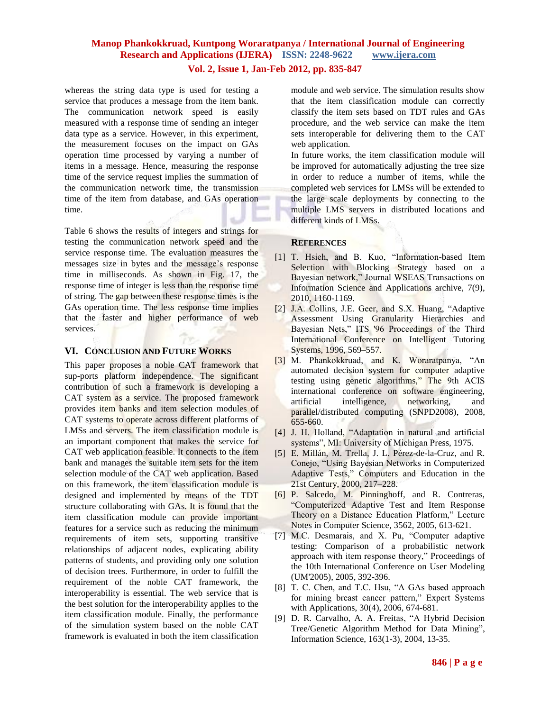#### **Vol. 2, Issue 1, Jan-Feb 2012, pp. 835-847**

whereas the string data type is used for testing a service that produces a message from the item bank. The communication network speed is easily measured with a response time of sending an integer data type as a service. However, in this experiment, the measurement focuses on the impact on GAs operation time processed by varying a number of items in a message. Hence, measuring the response time of the service request implies the summation of the communication network time, the transmission time of the item from database, and GAs operation time.

Table 6 shows the results of integers and strings for testing the communication network speed and the service response time. The evaluation measures the messages size in bytes and the message's response time in milliseconds. As shown in Fig. 17, the response time of integer is less than the response time of string. The gap between these response times is the GAs operation time. The less response time implies that the faster and higher performance of web services.

#### **VI. CONCLUSION AND FUTURE WORKS**

This paper proposes a noble CAT framework that sup-ports platform independence. The significant contribution of such a framework is developing a CAT system as a service. The proposed framework provides item banks and item selection modules of CAT systems to operate across different platforms of LMSs and servers. The item classification module is an important component that makes the service for CAT web application feasible. It connects to the item bank and manages the suitable item sets for the item selection module of the CAT web application. Based on this framework, the item classification module is designed and implemented by means of the TDT structure collaborating with GAs. It is found that the item classification module can provide important features for a service such as reducing the minimum requirements of item sets, supporting transitive relationships of adjacent nodes, explicating ability patterns of students, and providing only one solution of decision trees. Furthermore, in order to fulfill the requirement of the noble CAT framework, the interoperability is essential. The web service that is the best solution for the interoperability applies to the item classification module. Finally, the performance of the simulation system based on the noble CAT framework is evaluated in both the item classification

module and web service. The simulation results show that the item classification module can correctly classify the item sets based on TDT rules and GAs procedure, and the web service can make the item sets interoperable for delivering them to the CAT web application.

In future works, the item classification module will be improved for automatically adjusting the tree size in order to reduce a number of items, while the completed web services for LMSs will be extended to the large scale deployments by connecting to the multiple LMS servers in distributed locations and different kinds of LMSs.

#### **REFERENCES**

- [1] T. Hsieh, and B. Kuo, "Information-based Item Selection with Blocking Strategy based on a Bayesian network," Journal WSEAS Transactions on Information Science and Applications archive, 7(9), 2010, 1160-1169.
- [2] J.A. Collins, J.E. Geer, and S.X. Huang, "Adaptive Assessment Using Granularity Hierarchies and Bayesian Nets," ITS '96 Proceedings of the Third International Conference on Intelligent Tutoring Systems, 1996, 569–557.
- [3] M. Phankokkruad, and K. Woraratpanya, "An automated decision system for computer adaptive testing using genetic algorithms," The 9th ACIS international conference on software engineering, artificial intelligence, networking, and parallel/distributed computing (SNPD2008), 2008, 655-660.
- [4] J. H. Holland, "Adaptation in natural and artificial systems", MI: University of Michigan Press, 1975.
- [5] E. Millán, M. Trella, J. L. Pérez-de-la-Cruz, and R. Conejo, "Using Bayesian Networks in Computerized Adaptive Tests," Computers and Education in the 21st Century, 2000, 217–228.
- [6] P. Salcedo, M. Pinninghoff, and R. Contreras, "Computerized Adaptive Test and Item Response Theory on a Distance Education Platform," Lecture Notes in Computer Science, 3562, 2005, 613-621.
- [7] M.C. Desmarais, and X. Pu, "Computer adaptive testing: Comparison of a probabilistic network approach with item response theory," Proceedings of the 10th International Conference on User Modeling (UM'2005), 2005, 392-396.
- [8] T. C. Chen, and T.C. Hsu, "A GAs based approach for mining breast cancer pattern," Expert Systems with Applications, 30(4), 2006, 674-681.
- [9] D. R. Carvalho, A. A. Freitas, "A Hybrid Decision Tree/Genetic Algorithm Method for Data Mining", Information Science, 163(1-3), 2004, 13-35.